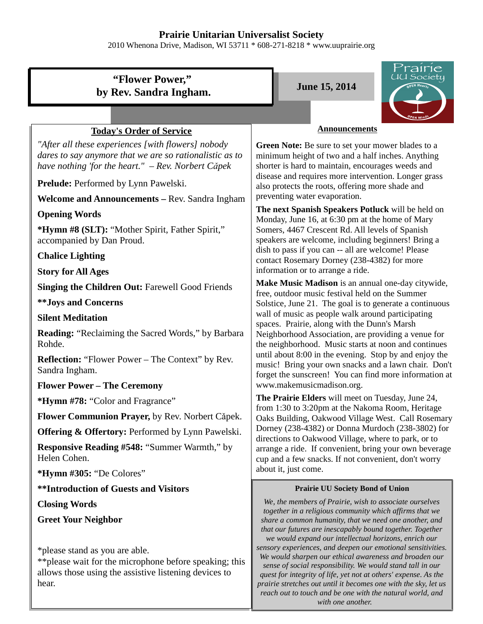### **Prairie Unitarian Universalist Society**

2010 Whenona Drive, Madison, WI 53711 \* 608-271-8218 \* www.uuprairie.org

# **"Flower Power," by Rev. Sandra Ingham.** June 15, 2014



## **Today's Order of Service**

*"After all these experiences [with flowers] nobody dares to say anymore that we are so rationalistic as to have nothing 'for the heart." – Rev. Norbert Cǎpek* 

**Prelude:** Performed by Lynn Pawelski.

**Welcome and Announcements –** Rev. Sandra Ingham

**Opening Words**

**\*Hymn #8 (SLT):** "Mother Spirit, Father Spirit," accompanied by Dan Proud.

**Chalice Lighting**

**Story for All Ages**

**Singing the Children Out:** Farewell Good Friends

**\*\*Joys and Concerns**

**Silent Meditation**

**Reading:** "Reclaiming the Sacred Words," by Barbara Rohde.

**Reflection:** "Flower Power – The Context" by Rev. Sandra Ingham.

### **Flower Power – The Ceremony**

**\*Hymn #78:** "Color and Fragrance"

**Flower Communion Prayer,** by Rev. Norbert Cǎpek.

**Offering & Offertory:** Performed by Lynn Pawelski.

**Responsive Reading #548:** "Summer Warmth," by Helen Cohen.

**\*Hymn #305:** "De Colores"

**\*\*Introduction of Guests and Visitors**

**Closing Words**

**Greet Your Neighbor**

\*please stand as you are able.

\*\*please wait for the microphone before speaking; this allows those using the assistive listening devices to hear.

#### **Announcements**

**Green Note:** Be sure to set your mower blades to a minimum height of two and a half inches. Anything shorter is hard to maintain, encourages weeds and disease and requires more intervention. Longer grass also protects the roots, offering more shade and preventing water evaporation.

**The next Spanish Speakers Potluck** will be held on Monday, June 16, at 6:30 pm at the home of Mary Somers, 4467 Crescent Rd. All levels of Spanish speakers are welcome, including beginners! Bring a dish to pass if you can -- all are welcome! Please contact Rosemary Dorney (238-4382) for more information or to arrange a ride.

**Make Music Madison** is an annual one-day citywide, free, outdoor music festival held on the Summer Solstice, June 21. The goal is to generate a continuous wall of music as people walk around participating spaces. Prairie, along with the Dunn's Marsh Neighborhood Association, are providing a venue for the neighborhood. Music starts at noon and continues until about 8:00 in the evening. Stop by and enjoy the music! Bring your own snacks and a lawn chair. Don't forget the sunscreen! You can find more information at www.makemusicmadison.org.

**The Prairie Elders** will meet on Tuesday, June 24, from 1:30 to 3:20pm at the Nakoma Room, Heritage Oaks Building, Oakwood Village West. Call Rosemary Dorney (238-4382) or Donna Murdoch (238-3802) for directions to Oakwood Village, where to park, or to arrange a ride. If convenient, bring your own beverage cup and a few snacks. If not convenient, don't worry about it, just come.

#### **Prairie UU Society Bond of Union**

*We, the members of Prairie, wish to associate ourselves together in a religious community which affirms that we share a common humanity, that we need one another, and that our futures are inescapably bound together. Together we would expand our intellectual horizons, enrich our sensory experiences, and deepen our emotional sensitivities. We would sharpen our ethical awareness and broaden our sense of social responsibility. We would stand tall in our quest for integrity of life, yet not at others' expense. As the prairie stretches out until it becomes one with the sky, let us reach out to touch and be one with the natural world, and with one another.*